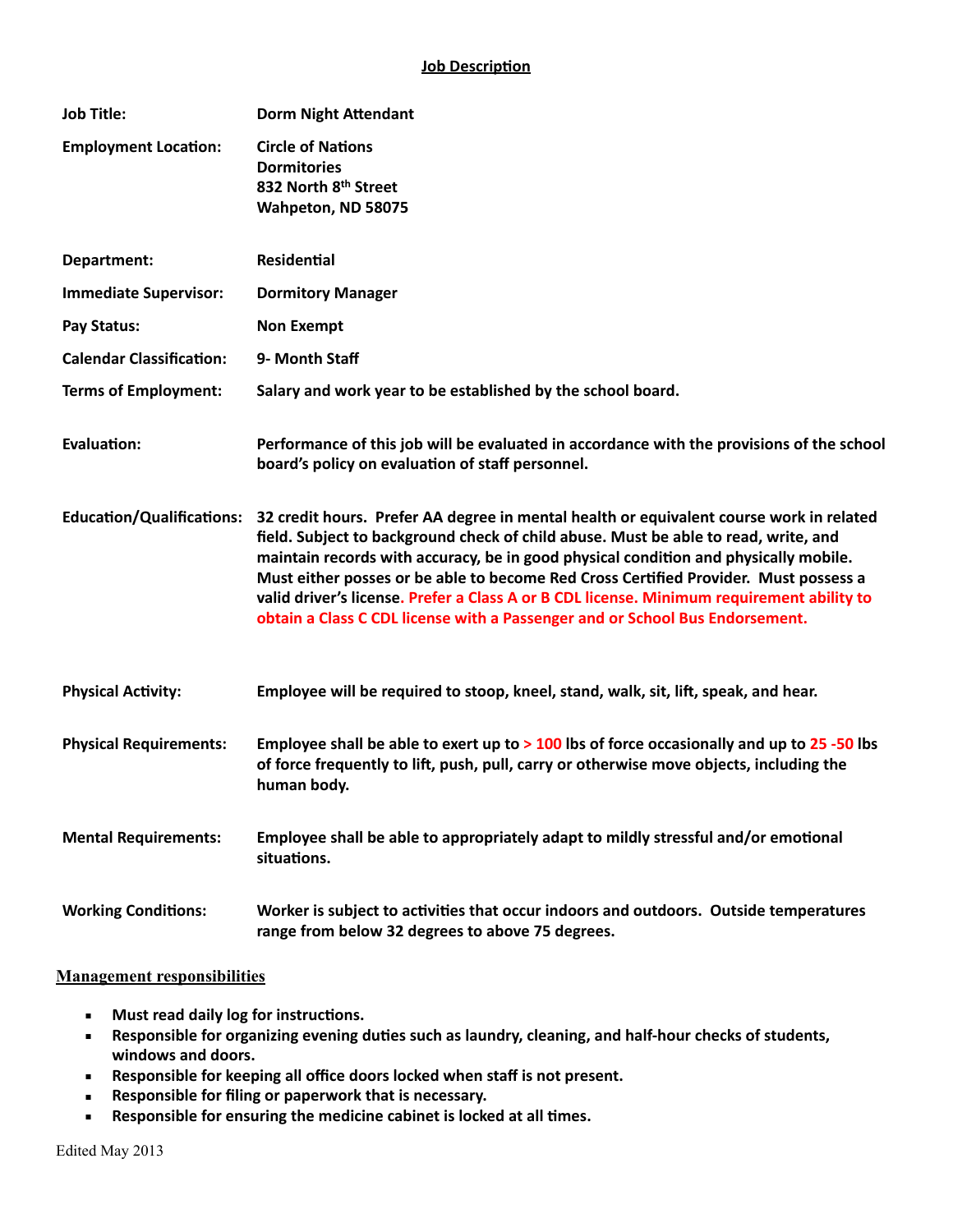| <b>Job Title:</b>                | <b>Dorm Night Attendant</b>                                                                                                                                                                                                                                                                                                                                                                                                                                                                                                                 |
|----------------------------------|---------------------------------------------------------------------------------------------------------------------------------------------------------------------------------------------------------------------------------------------------------------------------------------------------------------------------------------------------------------------------------------------------------------------------------------------------------------------------------------------------------------------------------------------|
| <b>Employment Location:</b>      | <b>Circle of Nations</b><br><b>Dormitories</b><br>832 North 8th Street                                                                                                                                                                                                                                                                                                                                                                                                                                                                      |
|                                  | Wahpeton, ND 58075                                                                                                                                                                                                                                                                                                                                                                                                                                                                                                                          |
| Department:                      | <b>Residential</b>                                                                                                                                                                                                                                                                                                                                                                                                                                                                                                                          |
| <b>Immediate Supervisor:</b>     | <b>Dormitory Manager</b>                                                                                                                                                                                                                                                                                                                                                                                                                                                                                                                    |
| Pay Status:                      | <b>Non Exempt</b>                                                                                                                                                                                                                                                                                                                                                                                                                                                                                                                           |
| <b>Calendar Classification:</b>  | 9- Month Staff                                                                                                                                                                                                                                                                                                                                                                                                                                                                                                                              |
| <b>Terms of Employment:</b>      | Salary and work year to be established by the school board.                                                                                                                                                                                                                                                                                                                                                                                                                                                                                 |
| <b>Evaluation:</b>               | Performance of this job will be evaluated in accordance with the provisions of the school<br>board's policy on evaluation of staff personnel.                                                                                                                                                                                                                                                                                                                                                                                               |
| <b>Education/Qualifications:</b> | 32 credit hours. Prefer AA degree in mental health or equivalent course work in related<br>field. Subject to background check of child abuse. Must be able to read, write, and<br>maintain records with accuracy, be in good physical condition and physically mobile.<br>Must either posses or be able to become Red Cross Certified Provider. Must possess a<br>valid driver's license. Prefer a Class A or B CDL license. Minimum requirement ability to<br>obtain a Class C CDL license with a Passenger and or School Bus Endorsement. |
| <b>Physical Activity:</b>        | Employee will be required to stoop, kneel, stand, walk, sit, lift, speak, and hear.                                                                                                                                                                                                                                                                                                                                                                                                                                                         |
| <b>Physical Requirements:</b>    | Employee shall be able to exert up to $>100$ lbs of force occasionally and up to 25 -50 lbs<br>of force frequently to lift, push, pull, carry or otherwise move objects, including the<br>human body.                                                                                                                                                                                                                                                                                                                                       |
| <b>Mental Requirements:</b>      | Employee shall be able to appropriately adapt to mildly stressful and/or emotional<br>situations.                                                                                                                                                                                                                                                                                                                                                                                                                                           |
| <b>Working Conditions:</b>       | Worker is subject to activities that occur indoors and outdoors. Outside temperatures<br>range from below 32 degrees to above 75 degrees.                                                                                                                                                                                                                                                                                                                                                                                                   |

## **Management responsibilities**

- **E** Must read daily log for instructions.
- **EXEPS ADM EXEL SHOM SHOW FIFT:** Pesponsible for organizing evening duties such as laundry, cleaning, and half-hour checks of students, windows and doors.
- **EXEPS IN A Responsible for keeping all office doors locked when staff is not present.**
- **EXECTED:** Responsible for filing or paperwork that is necessary.
- **EXECTE:** Responsible for ensuring the medicine cabinet is locked at all times.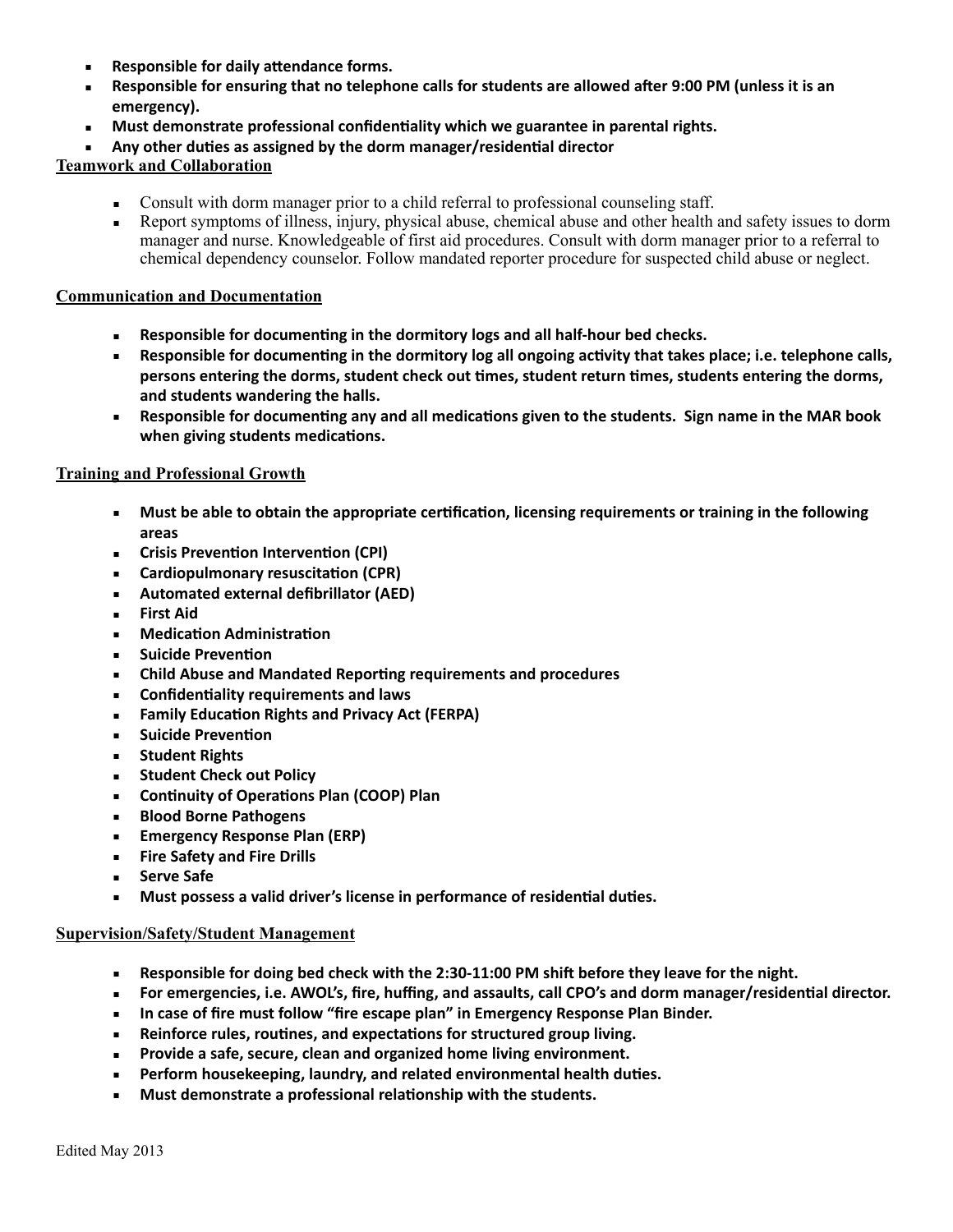- **Responsible for daily attendance forms.**
- **Example 18 In Septems 10 and Telephone Called for students are allowed after 9:00 PM (unless it is an** emergency).
- **Must demonstrate professional confidentiality which we guarantee in parental rights.**
- Any other duties as assigned by the dorm manager/residential director

**Teamwork and Collaboration** 

- Consult with dorm manager prior to a child referral to professional counseling staff.
- Report symptoms of illness, injury, physical abuse, chemical abuse and other health and safety issues to dorm manager and nurse. Knowledgeable of first aid procedures. Consult with dorm manager prior to a referral to chemical dependency counselor. Follow mandated reporter procedure for suspected child abuse or neglect.

## **Communication and Documentation**

- **EXECTE:** Responsible for documenting in the dormitory logs and all half-hour bed checks.
- **EXECTED Responsible for documenting in the dormitory log all ongoing activity that takes place; i.e. telephone calls,** persons entering the dorms, student check out times, student return times, students entering the dorms, and students wandering the halls.
- **EXECTED Responsible for documenting any and all medications given to the students. Sign name in the MAR book** when giving students medications.

## **Training and Professional Growth**

- **■** Must be able to obtain the appropriate certification, licensing requirements or training in the following **areas**
- **EXECT:** Crisis Prevention Intervention (CPI)
- **Cardiopulmonary resuscita,on (CPR)**
- **EXECUTE:** Automated external defibrillator (AED)
- **Eirst Aid**
- **E** Medication Administration
- **E** Suicide Prevention
- **EXECUTE:** Child Abuse and Mandated Reporting requirements and procedures
- **EXECONFEDERATE:** Confidentiality requirements and laws
- **EXECUTE:** Family Education Rights and Privacy Act (FERPA)
- **EXECUTE: Suicide Prevention**
- **EXECUTE:** Student Rights
- **EXECUTE:** Student Check out Policy
- **EXECONTRIMIXY OF Operations Plan (COOP) Plan**
- **Example 3 Blood Borne Pathogens**
- **Emergency Response Plan (ERP)**
- **Example 1 Fire Safety and Fire Drills**
- **Serve Safe**
- **EXECT:** Must possess a valid driver's license in performance of residential duties.

## **Supervision/Safety/Student Management**

- **EXEL BE SHOOF THE SHOOF THE SHOOF THE SHOOF THE SHOOF THE SHOOF THE SHOOF THE SHOOF THE SHOOF THE SHOOF THEORY OF THE SHOOF THEORY OF THE SHOOF THEORY OF THE SHOOF THEORY THEORY THEORY OF THEORY THEORY OF THEORY OF THEORY**
- **EXECT:** For emergencies, i.e. AWOL's, fire, huffing, and assaults, call CPO's and dorm manager/residential director.
- **EXECT:** In case of fire must follow "fire escape plan" in Emergency Response Plan Binder.
- Reinforce rules, routines, and expectations for structured group living.
- Provide a safe, secure, clean and organized home living environment.
- **EXEL Perform housekeeping, laundry, and related environmental health duties.**
- **EXECUTE:** Must demonstrate a professional relationship with the students.